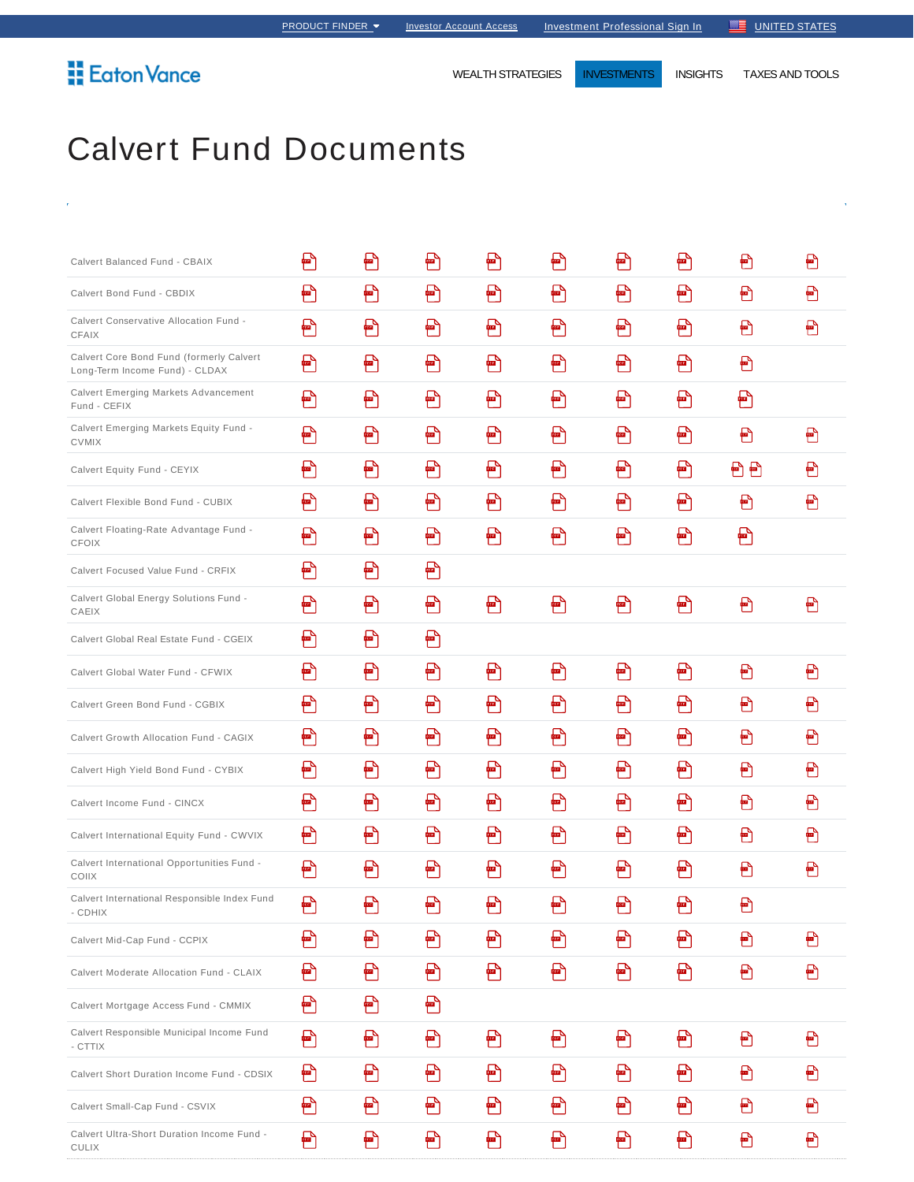## **Eaton Vance**

WEALTH STRATEGIES **INVESTMENTS** INSIGHTS TAXES AND TOOLS

## Calvert Fund Documents

| Calvert Balanced Fund - CBAIX                                              | Ð | Ð | Ð                          | Ð | ฅ      | ₩ | Ð                                                                  | Ð   | €      |
|----------------------------------------------------------------------------|---|---|----------------------------|---|--------|---|--------------------------------------------------------------------|-----|--------|
| Calvert Bond Fund - CBDIX                                                  | ₽ | ₽ | Ð                          | Ð | Ð      | ₽ | 骨                                                                  | €   | ₩      |
| Calvert Conservative Allocation Fund -<br>CFAIX                            | Ð | Ð | Ð                          | Ð | Ð      | Ð | Ð                                                                  | Ð   | €      |
| Calvert Core Bond Fund (formerly Calvert<br>Long-Term Income Fund) - CLDAX | Ð | Ð | Ð                          | Ð | Ð      | Ð | Ð                                                                  | Ð   |        |
| Calvert Emerging Markets Advancement<br>Fund - CEFIX                       | ₽ | Ð | ₽                          | Ð | Ð      | Ð | 骨                                                                  | Ð   |        |
| Calvert Emerging Markets Equity Fund -<br><b>CVMIX</b>                     | Ð | Ð | Ð                          | Ð | Ð      | Ð | Ð                                                                  | €   | €      |
| Calvert Equity Fund - CEYIX                                                | ₽ | ₩ | ₽                          | ₩ | Ð      | ₩ | ₽                                                                  | 2 2 | €      |
| Calvert Flexible Bond Fund - CUBIX                                         | Ð | Ð | Ð                          | Ð | Ð      | Ð | Ð                                                                  | Ð   | €      |
| Calvert Floating-Rate Advantage Fund -<br><b>CFOIX</b>                     | 骨 | Ð | Ð                          | Ð | ₽      | Ð | ■                                                                  | 骨   |        |
| Calvert Focused Value Fund - CRFIX                                         | ₽ | Ð | Ð                          |   |        |   |                                                                    |     |        |
| Calvert Global Energy Solutions Fund -<br>CAEIX                            | ₽ | Ð | Ð                          | Ð | Ð      | Ð | $\begin{bmatrix} \blacksquare \end{bmatrix}$                       | €   | €      |
| Calvert Global Real Estate Fund - CGEIX                                    | ₽ | ₽ | ₽                          |   |        |   |                                                                    |     |        |
| Calvert Global Water Fund - CFWIX                                          | Ð | Ð | Ð                          | Ð | ฅ      | Ð | Ð                                                                  | €   | €      |
| Calvert Green Bond Fund - CGBIX                                            | ₽ | ₩ | Ð                          | Ð | Ð      | Ð | 骨                                                                  | €   | Ð      |
| Calvert Growth Allocation Fund - CAGIX                                     | Ð | Ð | Ð                          | Ð | Ð      | Ð | Ð                                                                  | €   | €      |
| Calvert High Yield Bond Fund - CYBIX                                       | ₽ | Ð | Ð                          | Ð | Ð      | Ð | Ð                                                                  | Ð   | €      |
| Calvert Income Fund - CINCX                                                | Ð | Ð | Ð                          | Ð | ₽      | Ð | Ð                                                                  | Ð   | ₽      |
| Calvert International Equity Fund - CWVIX                                  | ₽ | ₽ | Ð                          | ₽ | ₽      | Ð | ₽                                                                  | Ð   | ₩      |
| Calvert International Opportunities Fund -<br>COIIX                        | Ð | Ð | ᡗ<br>凹                     | Ð | ᡗ<br>憻 | Ð | ᡗ<br>$\overline{\phantom{a}}$                                      | Ð   | ∩<br>▥ |
| Calvert International Responsible Index Fund<br>- CDHIX                    | Ð | Ð | Ð                          | Ð | Ð      | Ð | Ð                                                                  | Ð   |        |
| Calvert Mid-Cap Fund - CCPIX                                               | Ð | Ð | Ð                          | Ð | ₽      | Ð | Ð                                                                  | €   | €      |
| Calvert Moderate Allocation Fund - CLAIX                                   | ₽ | Ð | $\color{red} \blacksquare$ | Ð | Ð      | Ð | $\begin{bmatrix} \begin{matrix} 1 \\ 2 \end{matrix} \end{bmatrix}$ | €   | €      |
| Calvert Mortgage Access Fund - CMMIX                                       | Ð | Ð | Ð                          |   |        |   |                                                                    |     |        |
| Calvert Responsible Municipal Income Fund<br>- CTTIX                       | Ð | Ð | Ð                          | Ð | Ð      | Ð | $\blacksquare$                                                     | €   | €      |
| Calvert Short Duration Income Fund - CDSIX                                 | Ð | ₽ | Ð                          | Ð | Ð      | Ð | Ð                                                                  | €   | €      |
| Calvert Small-Cap Fund - CSVIX                                             | Ð | Ð | Ð                          | Ð | Ð      | Ð | ₽                                                                  | €   | €      |
| Calvert Ultra-Short Duration Income Fund -<br><b>CULIX</b>                 | Ð | Ð | Ð                          | Ð | Ð      | Ð | Ð                                                                  | €   | €      |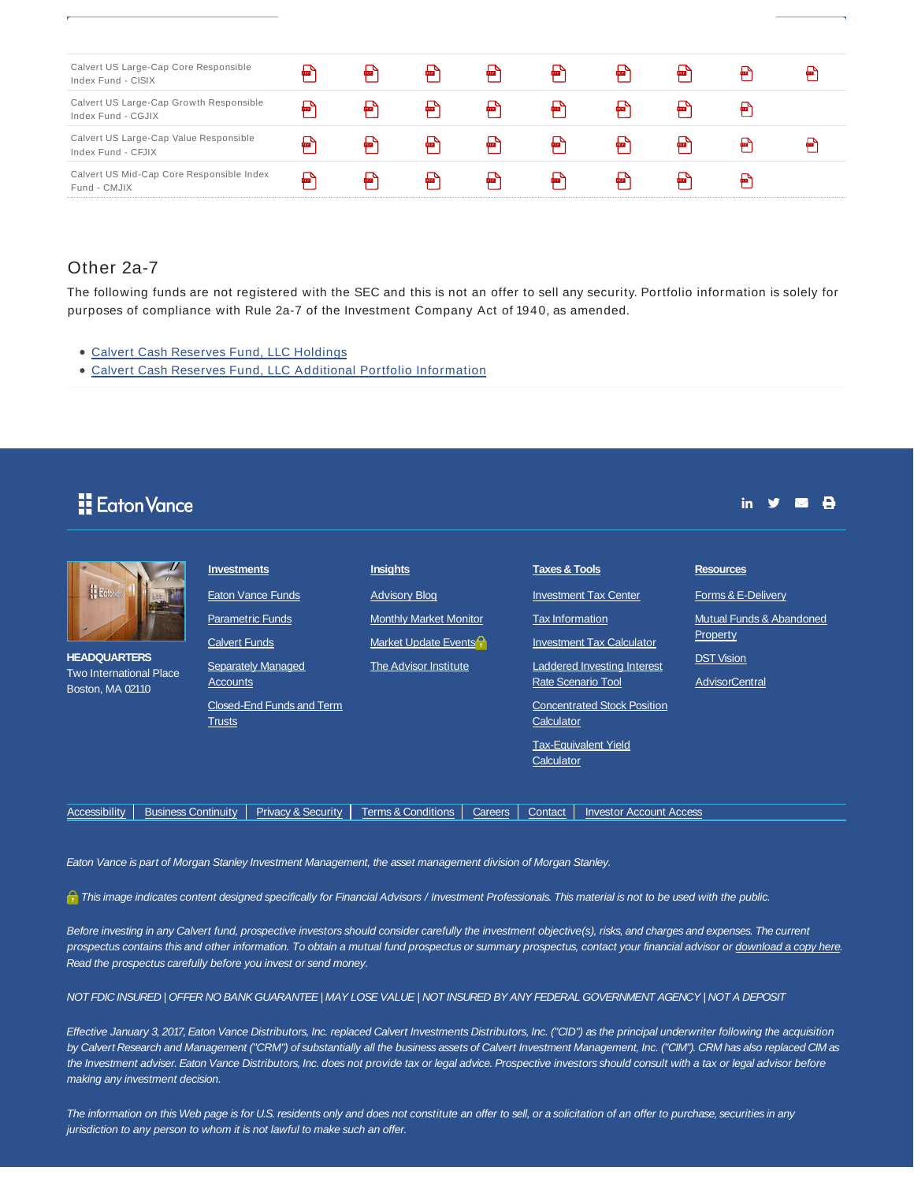| Calvert US Large-Cap Core Responsible<br>Index Fund - CISIX   | PDF | <b>PDF</b> | PDF | <b>POF</b> | POF        | POF         | PDF | ror        |  |
|---------------------------------------------------------------|-----|------------|-----|------------|------------|-------------|-----|------------|--|
| Calvert US Large-Cap Growth Responsible<br>Index Fund - CGJIX | POF | PDF        | PDF | <b>POF</b> | POF        | POF         | PDF | <b>For</b> |  |
| Calvert US Large-Cap Value Responsible<br>Index Fund - CFJIX  | POF | PDF        | PDE | фш.        | <b>POF</b> | <b>POF</b>  | PDF | ror        |  |
| Calvert US Mid-Cap Core Responsible Index<br>Fund - CMJIX     | 冒   | PDF        | PDF | PDF        | POF        | <b>POET</b> | PDF | <b>DOP</b> |  |

## Other 2a-7

The following funds are not registered with the SEC and this is not an offer to sell any security. Portfolio information is solely for purposes of compliance with Rule 2a-7 of the Investment Company Act of 1940, as amended.

- Calvert Cash Reserves Fund, LLC Holdings
- Calvert Cash Reserves Fund, LLC Additional Portfolio Information

| <b>Eaton Vance</b>                                                                                                                           |                                                                                                                                                                                                                    |                                                                                                                                                                   |         |                                                                                                                                                                                                                                                                                                | $\mathsf{in}$                                                                                                                                                  |  |
|----------------------------------------------------------------------------------------------------------------------------------------------|--------------------------------------------------------------------------------------------------------------------------------------------------------------------------------------------------------------------|-------------------------------------------------------------------------------------------------------------------------------------------------------------------|---------|------------------------------------------------------------------------------------------------------------------------------------------------------------------------------------------------------------------------------------------------------------------------------------------------|----------------------------------------------------------------------------------------------------------------------------------------------------------------|--|
| <b>E</b> Eoton's<br><b>HEADQUARTERS</b><br><b>Two International Place</b><br>Boston, MA 02110<br>Accessibility<br><b>Business Continuity</b> | <b>Investments</b><br>Eaton Vance Funds<br><b>Parametric Funds</b><br><b>Calvert Funds</b><br><b>Separately Managed</b><br>Accounts<br>Closed-End Funds and Term<br><b>Trusts</b><br><b>Privacy &amp; Security</b> | <b>Insights</b><br><b>Advisory Blog</b><br><b>Monthly Market Monitor</b><br>Market Update Events<br><b>The Advisor Institute</b><br><b>Terms &amp; Conditions</b> | Careers | <b>Taxes &amp; Tools</b><br><b>Investment Tax Center</b><br><b>Tax Information</b><br><b>Investment Tax Calculator</b><br>Laddered Investing Interest<br><b>Rate Scenario Tool</b><br><b>Concentrated Stock Position</b><br>Calculator<br><b>Tax-Equivalent Yield</b><br>Calculator<br>Contact | <b>Resources</b><br>Forms & E-Delivery<br>Mutual Funds & Abandoned<br>Property<br><b>DST Vision</b><br><b>AdvisorCentral</b><br><b>Investor Account Access</b> |  |

Eaton Vance is part of Morgan Stanley Investment Management, the asset management division of Morgan Stanley.

This image indicates content designed specifically for Financial Advisors / Investment Professionals. This material is not to be used with the public.

Before investing in any Calvert fund, prospective investors should consider carefully the investment objective(s), risks, and charges and expenses. The current prospectus contains this and other information. To obtain a mutual fund prospectus or summary prospectus, contact your financial advisor or download a copy here. Read the prospectus carefully before you invest or send money.

## NOT FDIC INSURED | OFFER NO BANK GUARANTEE | MAY LOSE VALUE | NOT INSURED BY ANY FEDERAL GOVERNMENT AGENCY | NOT A DEPOSIT

Effective January 3, 2017, Eaton Vance Distributors, Inc. replaced Calvert Investments Distributors, Inc. ("CID") as the principal underwriter following the acquisition by Calvert Research and Management ("CRM") of substantially all the business assets of Calvert Investment Management, Inc. ("CIM"). CRM has also replaced CIM as the Investment adviser. Eaton Vance Distributors, Inc. does not provide tax or legal advice. Prospective investors should consult with a tax or legal advisor before making any investment decision.

The information on this Web page is for U.S. residents only and does not constitute an offer to sell, or a solicitation of an offer to purchase, securities in any jurisdiction to any person to whom it is not lawful to make such an offer.